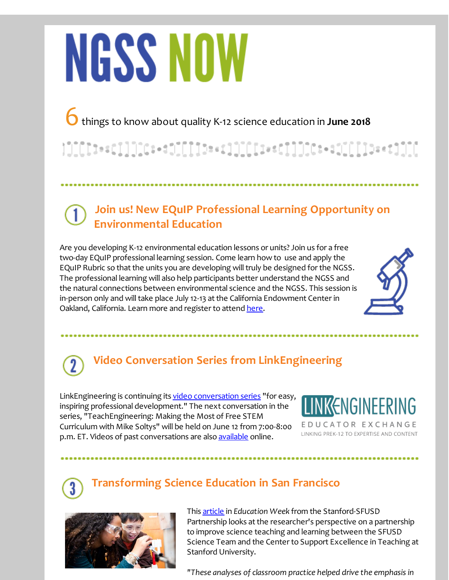# **NGSS NOW**

6things to know about quality K-12 science education in **June <sup>2018</sup>**

### **Join us! New EQuIP Professional Learning Opportunity on Environmental Education**

Are you developing K-12 environmental education lessons or units? Join us for a free two-day EQuIP professional learning session. Come learn how to use and apply the EQuIP Rubric so that the units you are developing will truly be designed for the NGSS. The professional learning will also help participants better understand the NGSS and the natural connections between environmental science and the NGSS. This session is in-person only and will take place July 12-13 at the California Endowment Center in Oakland, California. Learn more and register to attend [here](http://r20.rs6.net/tn.jsp?f=001Dh_m0XmFkHJUXdL4w0MsHfkQ26mJXWepjLnraZhCESs94tZNLl2Yt9PLG1cx5Z3009IYewcbr33-tsxRZAL7HXp3vQhaMLLcrSYdyo3M6FMqE-OSUKI04sJqA7JTXf9rktDNK0IgNK2YCAYfi7P6lmVvMuvuMM59T8RnItnsigpE-fvHQlOi_3g5Y91few6SJJmzqY_OshqFpSWvxBOn2Cn79Ov7-7PVKkFwU29z4a8TYW5hD1CgSaibQicDLCI1dVSgJ9zjHp21XI6f3_a2f2cw7hTQflhV&c=&ch=).



# **Video Conversation Series from LinkEngineering**

LinkEngineering is continuing its video [conversation](http://r20.rs6.net/tn.jsp?f=001Dh_m0XmFkHJUXdL4w0MsHfkQ26mJXWepjLnraZhCESs94tZNLl2Yt59wSFJ8PIWAGsqN7nCIKD482WePneoLrtNFoTKBuQSRdZCN80YCo6OKKBly-P_k279nMwX57hQSZ_qEpaRcCrdpV7BwGrVaxlVrmwNGudiY3ZkNW99j-H2PB0YUCISnIA8nU9Zb8mW5H9fU12GuUfj0TCMztgjOtqkyBTDD1tHE&c=&ch=) series "for easy, inspiring professional development." The next conversation in the series, "TeachEngineering: Making the Most of Free STEM Curriculum with Mike Soltys" will be held on June 12 from 7:00-8:00 p.m. ET. Videos of past conversations are also **[available](http://r20.rs6.net/tn.jsp?f=001Dh_m0XmFkHJUXdL4w0MsHfkQ26mJXWepjLnraZhCESs94tZNLl2Yt59wSFJ8PIWAGsqN7nCIKD482WePneoLrtNFoTKBuQSRdZCN80YCo6OKKBly-P_k279nMwX57hQSZ_qEpaRcCrdpV7BwGrVaxlVrmwNGudiY3ZkNW99j-H2PB0YUCISnIA8nU9Zb8mW5H9fU12GuUfj0TCMztgjOtqkyBTDD1tHE&c=&ch=)** online.



EDUCATOR EXCHANGE LINKING PREK-12 TO EXPERTISE AND CONTENT

## **Transforming Science Education in San Francisco**



This [article](http://r20.rs6.net/tn.jsp?f=001Dh_m0XmFkHJUXdL4w0MsHfkQ26mJXWepjLnraZhCESs94tZNLl2Yt9PLG1cx5Z30_yKDQKXXbsEFwlqPxo-K_S8XdqHfb323Yx-zxmHt4JjjDtzDzQ2aU7U0Gq38DWvoMoefYJEMSK8903TULzItSSdLESr8CqZasFByuqyGKLDi5UhxW7pwmW89sqQgg7nKOTE9Fors5qOPqcE_w_dqBPCnXxv09_MHs5Zmvzp_D2BvvsIx_XDlcaBPIjeJwpthAxPDOlXGo4WhiES3SWk0ydd7cFBe_W9YIz5-q1rDxik8rdMwG5n9jQ==&c=&ch=) in *Education Week* from the Stanford-SFUSD Partnership looks at the researcher's perspective on a partnership to improve science teaching and learning between the SFUSD Science Team and the Center to Support Excellence in Teaching at Stanford University.

*"These analyses of classroom practice helped drive the emphasis in*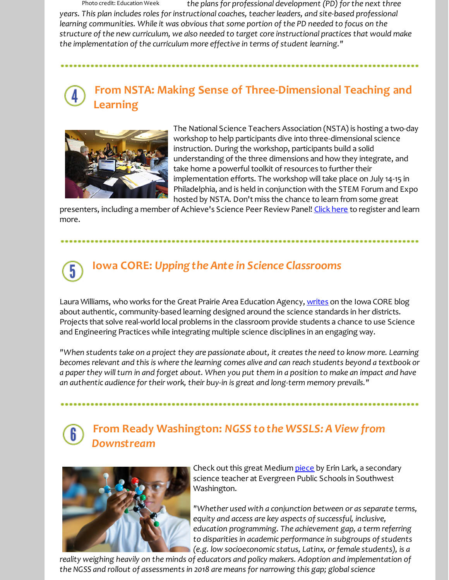Photo credit: Education Week *the plans for professional development (PD) forthe next three years. This plan includes roles forinstructional coaches, teacherleaders, and site-based professional learning communities. While it was obvious that some portion of the PD needed to focus on the structure of the new curriculum, we also needed to target core instructional practices that would make the implementation of the curriculum more effective in terms of student learning."*

## **From NSTA: Making Sense of Three-Dimensional Teaching and Learning**



The National Science Teachers Association (NSTA) is hosting a two-day workshop to help participants dive into three-dimensional science instruction. During the workshop, participants build a solid understanding of the three dimensions and how they integrate, and take home a powerful toolkit of resources to further their implementation efforts. The workshop will take place on July 14-15 in Philadelphia, and is held in conjunction with the STEM Forum and Expo hosted by NSTA. Don't miss the chance to learn from some great

presenters, including a member of Achieve's Science Peer Review Panel! [Click](http://r20.rs6.net/tn.jsp?f=001Dh_m0XmFkHJUXdL4w0MsHfkQ26mJXWepjLnraZhCESs94tZNLl2Yt9PLG1cx5Z30p9Y9ppkMEfdm-iYrzFKXWJL65m1_w9MMOepX8611d_uJdX8xZdHaoppIl0qlrCLU8CzKeKOVfsQ6nPg12E7ydq36_0E_OCadEJPGPrpWtwDKh_NRtpQKDCswfzFRM8ASkI3XKnESH5M=&c=&ch=) here to register and learn more.

# **Iowa CORE:** *Upping the Ante in Science Classrooms*

Laura Williams, who works for the Great Prairie Area Education Agency, [writes](http://r20.rs6.net/tn.jsp?f=001Dh_m0XmFkHJUXdL4w0MsHfkQ26mJXWepjLnraZhCESs94tZNLl2Yt-_uzUGAXjZa9UhGtdhHTYGTeRwKsSxPfLdQIj2OUJO1anqE4FdabMpBlm-dQVQKYd0XQiBz_usdm7ViyjLCCjGOObgctA6ERsLWWeIjooukW5jidl8WuJYbGMIeFqEPKp01LpZwhn79mfWPE4b5EA0IzDPD-z72bw==&c=&ch=) on the Iowa CORE blog about authentic, community-based learning designed around the science standards in her districts. Projects that solve real-world local problems in the classroom provide students a chance to use Science and Engineering Practices while integrating multiple science disciplines in an engaging way.

"When students take on a project they are passionate about, it creates the need to know more. Learning becomes relevant and this is where the learning comes alive and can reach students beyond a textbook or a paper they will turn in and forget about. When you put them in a position to make an impact and have *an authentic audience fortheir work, their buy-in is great and long-term memory prevails."*

### **From Ready Washington:** *NGSS to the WSSLS: A View from Downstream*



Check out this great Medium [piece](http://r20.rs6.net/tn.jsp?f=001Dh_m0XmFkHJUXdL4w0MsHfkQ26mJXWepjLnraZhCESs94tZNLl2Yt-_uzUGAXjZaiMbwLESlrWSIbEmW4IGF0T-JF532CTCXDSYxaoL5HTJV1yvyZvMzX4mx-oHq6pcxeRyTXeRMB5ZB8pY6KDJMVZlz4xTvkDsGVsddVRoK-1O-v9HWZQ9B7mJrLuog9bfNTMf82Jf2kvprOY0Z95K1HaFauW5zh5whQr-2BFhmyQUx9s-zs1mCZMUN5NxH05b616ry4qhXN6A=&c=&ch=) by Erin Lark, a secondary science teacher at Evergreen Public Schools in Southwest Washington.

*"Whether used with a conjunction between or as separate terms, equity and access are key aspects of successful, inclusive, education programming. The achievement gap, a term referring to disparities in academic performance in subgroups of students (e.g. low socioeconomic status, Latinx, orfemale students), is a*

*reality weighing heavily on the minds of educators and policy makers. Adoption and implementation of the NGSS and rollout of assessments in 2018 are means for narrowing this gap; globalscience*